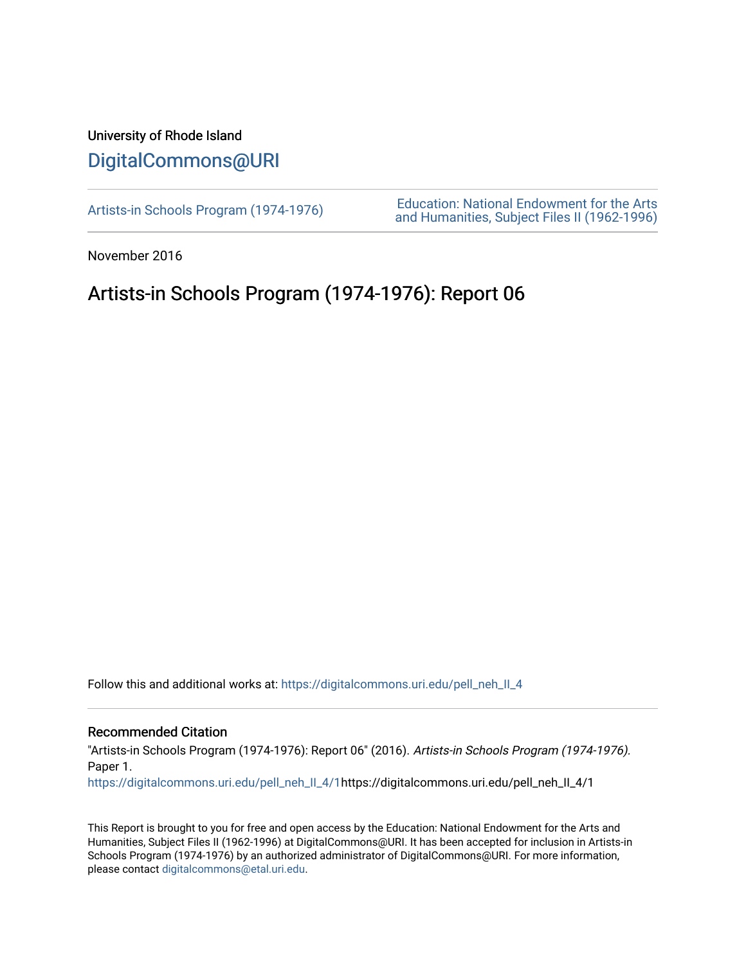## University of Rhode Island [DigitalCommons@URI](https://digitalcommons.uri.edu/)

[Artists-in Schools Program \(1974-1976\)](https://digitalcommons.uri.edu/pell_neh_II_4) [Education: National Endowment for the Arts](https://digitalcommons.uri.edu/pell_neh_II)  [and Humanities, Subject Files II \(1962-1996\)](https://digitalcommons.uri.edu/pell_neh_II) 

November 2016

## Artists-in Schools Program (1974-1976): Report 06

Follow this and additional works at: [https://digitalcommons.uri.edu/pell\\_neh\\_II\\_4](https://digitalcommons.uri.edu/pell_neh_II_4?utm_source=digitalcommons.uri.edu%2Fpell_neh_II_4%2F1&utm_medium=PDF&utm_campaign=PDFCoverPages) 

## Recommended Citation

"Artists-in Schools Program (1974-1976): Report 06" (2016). Artists-in Schools Program (1974-1976). Paper 1.

[https://digitalcommons.uri.edu/pell\\_neh\\_II\\_4/1](https://digitalcommons.uri.edu/pell_neh_II_4/1?utm_source=digitalcommons.uri.edu%2Fpell_neh_II_4%2F1&utm_medium=PDF&utm_campaign=PDFCoverPages)https://digitalcommons.uri.edu/pell\_neh\_II\_4/1

This Report is brought to you for free and open access by the Education: National Endowment for the Arts and Humanities, Subject Files II (1962-1996) at DigitalCommons@URI. It has been accepted for inclusion in Artists-in Schools Program (1974-1976) by an authorized administrator of DigitalCommons@URI. For more information, please contact [digitalcommons@etal.uri.edu.](mailto:digitalcommons@etal.uri.edu)